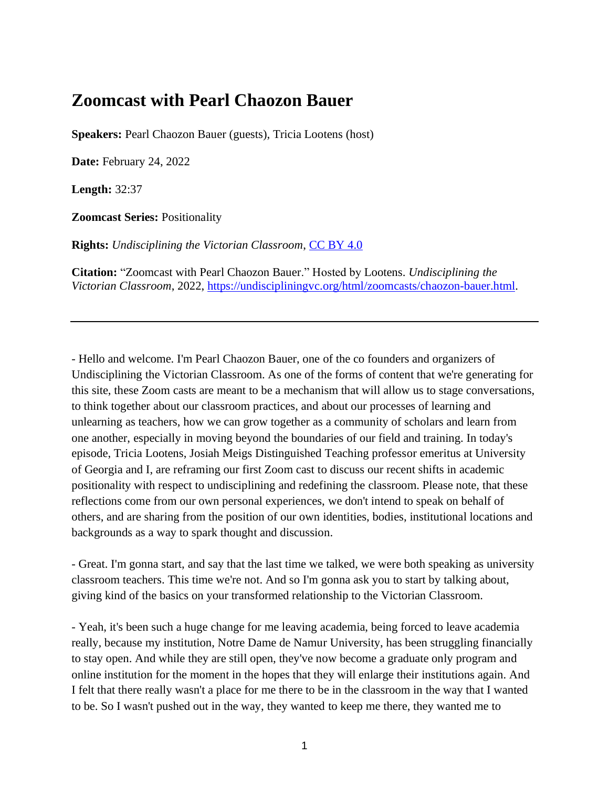## **Zoomcast with Pearl Chaozon Bauer**

**Speakers:** Pearl Chaozon Bauer (guests), Tricia Lootens (host)

**Date:** February 24, 2022

**Length:** 32:37

**Zoomcast Series:** Positionality

**Rights:** *Undisciplining the Victorian Classroom*, [CC BY 4.0](https://creativecommons.org/licenses/by/4.0/)

**Citation:** "Zoomcast with Pearl Chaozon Bauer." Hosted by Lootens. *Undisciplining the Victorian Classroom*, 2022, [https://undiscipliningvc.org/html/zoomcasts/chaozon-bauer.html.](https://undiscipliningvc.org/html/zoomcasts/chaozon-bauer.html)

- Hello and welcome. I'm Pearl Chaozon Bauer, one of the co founders and organizers of Undisciplining the Victorian Classroom. As one of the forms of content that we're generating for this site, these Zoom casts are meant to be a mechanism that will allow us to stage conversations, to think together about our classroom practices, and about our processes of learning and unlearning as teachers, how we can grow together as a community of scholars and learn from one another, especially in moving beyond the boundaries of our field and training. In today's episode, Tricia Lootens, Josiah Meigs Distinguished Teaching professor emeritus at University of Georgia and I, are reframing our first Zoom cast to discuss our recent shifts in academic positionality with respect to undisciplining and redefining the classroom. Please note, that these reflections come from our own personal experiences, we don't intend to speak on behalf of others, and are sharing from the position of our own identities, bodies, institutional locations and backgrounds as a way to spark thought and discussion.

- Great. I'm gonna start, and say that the last time we talked, we were both speaking as university classroom teachers. This time we're not. And so I'm gonna ask you to start by talking about, giving kind of the basics on your transformed relationship to the Victorian Classroom.

- Yeah, it's been such a huge change for me leaving academia, being forced to leave academia really, because my institution, Notre Dame de Namur University, has been struggling financially to stay open. And while they are still open, they've now become a graduate only program and online institution for the moment in the hopes that they will enlarge their institutions again. And I felt that there really wasn't a place for me there to be in the classroom in the way that I wanted to be. So I wasn't pushed out in the way, they wanted to keep me there, they wanted me to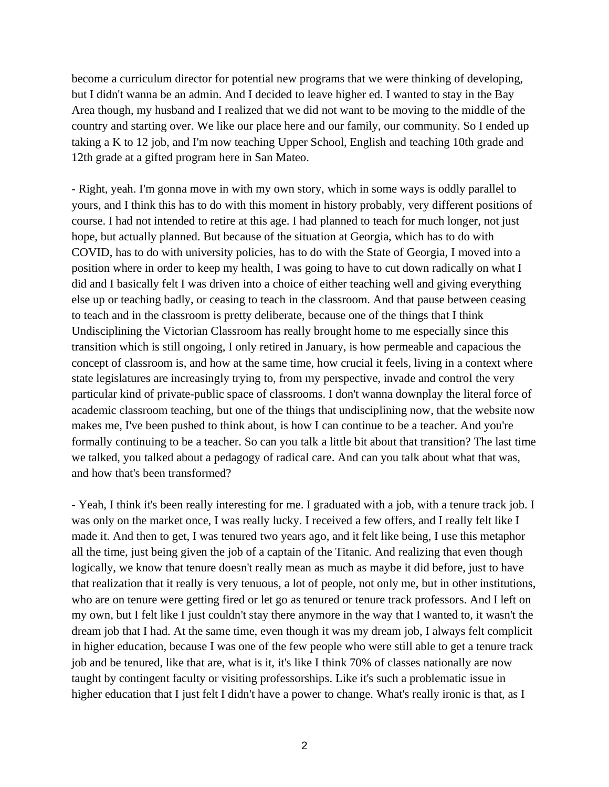become a curriculum director for potential new programs that we were thinking of developing, but I didn't wanna be an admin. And I decided to leave higher ed. I wanted to stay in the Bay Area though, my husband and I realized that we did not want to be moving to the middle of the country and starting over. We like our place here and our family, our community. So I ended up taking a K to 12 job, and I'm now teaching Upper School, English and teaching 10th grade and 12th grade at a gifted program here in San Mateo.

- Right, yeah. I'm gonna move in with my own story, which in some ways is oddly parallel to yours, and I think this has to do with this moment in history probably, very different positions of course. I had not intended to retire at this age. I had planned to teach for much longer, not just hope, but actually planned. But because of the situation at Georgia, which has to do with COVID, has to do with university policies, has to do with the State of Georgia, I moved into a position where in order to keep my health, I was going to have to cut down radically on what I did and I basically felt I was driven into a choice of either teaching well and giving everything else up or teaching badly, or ceasing to teach in the classroom. And that pause between ceasing to teach and in the classroom is pretty deliberate, because one of the things that I think Undisciplining the Victorian Classroom has really brought home to me especially since this transition which is still ongoing, I only retired in January, is how permeable and capacious the concept of classroom is, and how at the same time, how crucial it feels, living in a context where state legislatures are increasingly trying to, from my perspective, invade and control the very particular kind of private-public space of classrooms. I don't wanna downplay the literal force of academic classroom teaching, but one of the things that undisciplining now, that the website now makes me, I've been pushed to think about, is how I can continue to be a teacher. And you're formally continuing to be a teacher. So can you talk a little bit about that transition? The last time we talked, you talked about a pedagogy of radical care. And can you talk about what that was, and how that's been transformed?

- Yeah, I think it's been really interesting for me. I graduated with a job, with a tenure track job. I was only on the market once, I was really lucky. I received a few offers, and I really felt like I made it. And then to get, I was tenured two years ago, and it felt like being, I use this metaphor all the time, just being given the job of a captain of the Titanic. And realizing that even though logically, we know that tenure doesn't really mean as much as maybe it did before, just to have that realization that it really is very tenuous, a lot of people, not only me, but in other institutions, who are on tenure were getting fired or let go as tenured or tenure track professors. And I left on my own, but I felt like I just couldn't stay there anymore in the way that I wanted to, it wasn't the dream job that I had. At the same time, even though it was my dream job, I always felt complicit in higher education, because I was one of the few people who were still able to get a tenure track job and be tenured, like that are, what is it, it's like I think 70% of classes nationally are now taught by contingent faculty or visiting professorships. Like it's such a problematic issue in higher education that I just felt I didn't have a power to change. What's really ironic is that, as I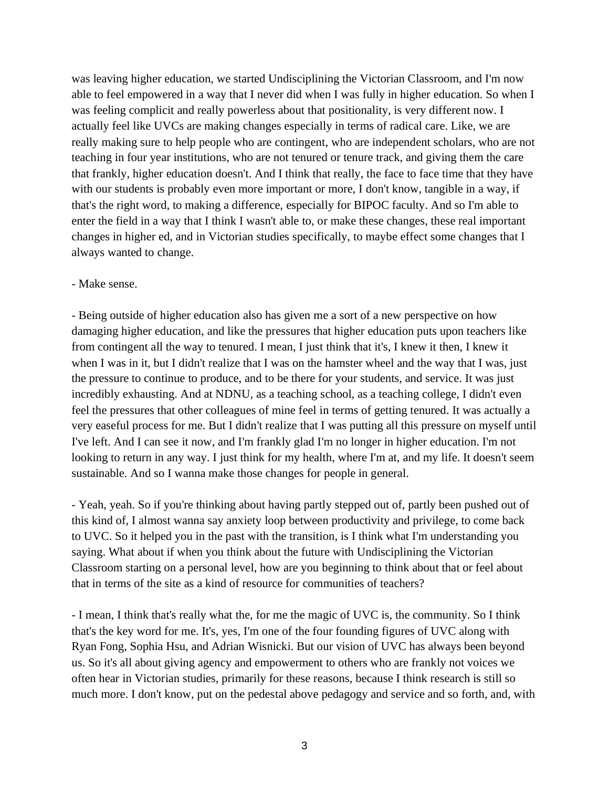was leaving higher education, we started Undisciplining the Victorian Classroom, and I'm now able to feel empowered in a way that I never did when I was fully in higher education. So when I was feeling complicit and really powerless about that positionality, is very different now. I actually feel like UVCs are making changes especially in terms of radical care. Like, we are really making sure to help people who are contingent, who are independent scholars, who are not teaching in four year institutions, who are not tenured or tenure track, and giving them the care that frankly, higher education doesn't. And I think that really, the face to face time that they have with our students is probably even more important or more, I don't know, tangible in a way, if that's the right word, to making a difference, especially for BIPOC faculty. And so I'm able to enter the field in a way that I think I wasn't able to, or make these changes, these real important changes in higher ed, and in Victorian studies specifically, to maybe effect some changes that I always wanted to change.

## - Make sense.

- Being outside of higher education also has given me a sort of a new perspective on how damaging higher education, and like the pressures that higher education puts upon teachers like from contingent all the way to tenured. I mean, I just think that it's, I knew it then, I knew it when I was in it, but I didn't realize that I was on the hamster wheel and the way that I was, just the pressure to continue to produce, and to be there for your students, and service. It was just incredibly exhausting. And at NDNU, as a teaching school, as a teaching college, I didn't even feel the pressures that other colleagues of mine feel in terms of getting tenured. It was actually a very easeful process for me. But I didn't realize that I was putting all this pressure on myself until I've left. And I can see it now, and I'm frankly glad I'm no longer in higher education. I'm not looking to return in any way. I just think for my health, where I'm at, and my life. It doesn't seem sustainable. And so I wanna make those changes for people in general.

- Yeah, yeah. So if you're thinking about having partly stepped out of, partly been pushed out of this kind of, I almost wanna say anxiety loop between productivity and privilege, to come back to UVC. So it helped you in the past with the transition, is I think what I'm understanding you saying. What about if when you think about the future with Undisciplining the Victorian Classroom starting on a personal level, how are you beginning to think about that or feel about that in terms of the site as a kind of resource for communities of teachers?

- I mean, I think that's really what the, for me the magic of UVC is, the community. So I think that's the key word for me. It's, yes, I'm one of the four founding figures of UVC along with Ryan Fong, Sophia Hsu, and Adrian Wisnicki. But our vision of UVC has always been beyond us. So it's all about giving agency and empowerment to others who are frankly not voices we often hear in Victorian studies, primarily for these reasons, because I think research is still so much more. I don't know, put on the pedestal above pedagogy and service and so forth, and, with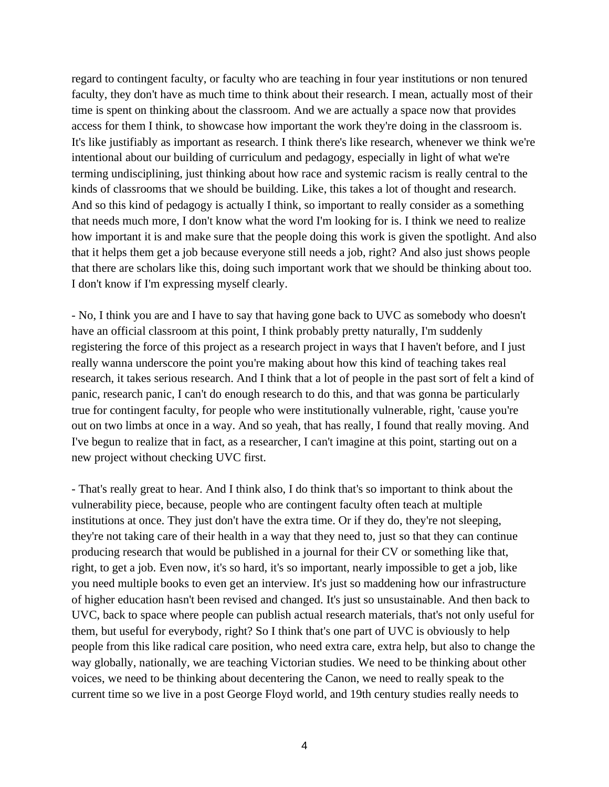regard to contingent faculty, or faculty who are teaching in four year institutions or non tenured faculty, they don't have as much time to think about their research. I mean, actually most of their time is spent on thinking about the classroom. And we are actually a space now that provides access for them I think, to showcase how important the work they're doing in the classroom is. It's like justifiably as important as research. I think there's like research, whenever we think we're intentional about our building of curriculum and pedagogy, especially in light of what we're terming undisciplining, just thinking about how race and systemic racism is really central to the kinds of classrooms that we should be building. Like, this takes a lot of thought and research. And so this kind of pedagogy is actually I think, so important to really consider as a something that needs much more, I don't know what the word I'm looking for is. I think we need to realize how important it is and make sure that the people doing this work is given the spotlight. And also that it helps them get a job because everyone still needs a job, right? And also just shows people that there are scholars like this, doing such important work that we should be thinking about too. I don't know if I'm expressing myself clearly.

- No, I think you are and I have to say that having gone back to UVC as somebody who doesn't have an official classroom at this point, I think probably pretty naturally, I'm suddenly registering the force of this project as a research project in ways that I haven't before, and I just really wanna underscore the point you're making about how this kind of teaching takes real research, it takes serious research. And I think that a lot of people in the past sort of felt a kind of panic, research panic, I can't do enough research to do this, and that was gonna be particularly true for contingent faculty, for people who were institutionally vulnerable, right, 'cause you're out on two limbs at once in a way. And so yeah, that has really, I found that really moving. And I've begun to realize that in fact, as a researcher, I can't imagine at this point, starting out on a new project without checking UVC first.

- That's really great to hear. And I think also, I do think that's so important to think about the vulnerability piece, because, people who are contingent faculty often teach at multiple institutions at once. They just don't have the extra time. Or if they do, they're not sleeping, they're not taking care of their health in a way that they need to, just so that they can continue producing research that would be published in a journal for their CV or something like that, right, to get a job. Even now, it's so hard, it's so important, nearly impossible to get a job, like you need multiple books to even get an interview. It's just so maddening how our infrastructure of higher education hasn't been revised and changed. It's just so unsustainable. And then back to UVC, back to space where people can publish actual research materials, that's not only useful for them, but useful for everybody, right? So I think that's one part of UVC is obviously to help people from this like radical care position, who need extra care, extra help, but also to change the way globally, nationally, we are teaching Victorian studies. We need to be thinking about other voices, we need to be thinking about decentering the Canon, we need to really speak to the current time so we live in a post George Floyd world, and 19th century studies really needs to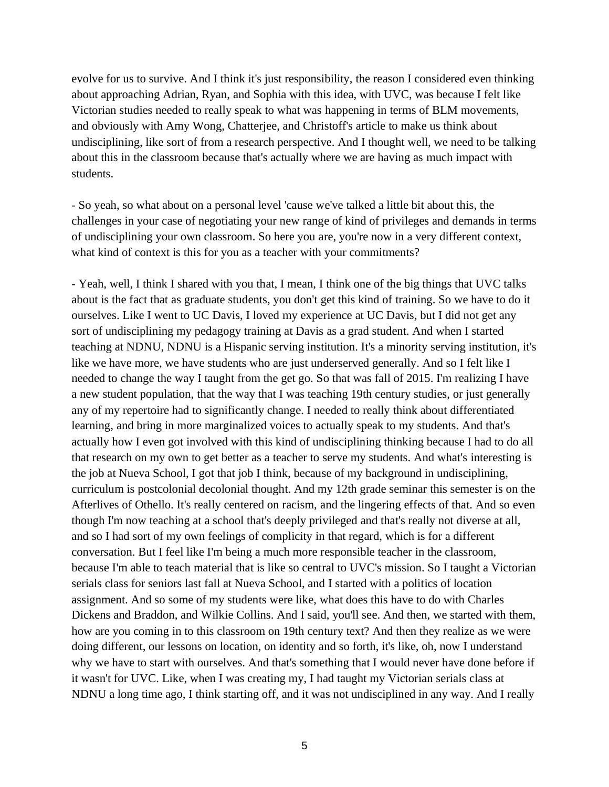evolve for us to survive. And I think it's just responsibility, the reason I considered even thinking about approaching Adrian, Ryan, and Sophia with this idea, with UVC, was because I felt like Victorian studies needed to really speak to what was happening in terms of BLM movements, and obviously with Amy Wong, Chatterjee, and Christoff's article to make us think about undisciplining, like sort of from a research perspective. And I thought well, we need to be talking about this in the classroom because that's actually where we are having as much impact with students.

- So yeah, so what about on a personal level 'cause we've talked a little bit about this, the challenges in your case of negotiating your new range of kind of privileges and demands in terms of undisciplining your own classroom. So here you are, you're now in a very different context, what kind of context is this for you as a teacher with your commitments?

- Yeah, well, I think I shared with you that, I mean, I think one of the big things that UVC talks about is the fact that as graduate students, you don't get this kind of training. So we have to do it ourselves. Like I went to UC Davis, I loved my experience at UC Davis, but I did not get any sort of undisciplining my pedagogy training at Davis as a grad student. And when I started teaching at NDNU, NDNU is a Hispanic serving institution. It's a minority serving institution, it's like we have more, we have students who are just underserved generally. And so I felt like I needed to change the way I taught from the get go. So that was fall of 2015. I'm realizing I have a new student population, that the way that I was teaching 19th century studies, or just generally any of my repertoire had to significantly change. I needed to really think about differentiated learning, and bring in more marginalized voices to actually speak to my students. And that's actually how I even got involved with this kind of undisciplining thinking because I had to do all that research on my own to get better as a teacher to serve my students. And what's interesting is the job at Nueva School, I got that job I think, because of my background in undisciplining, curriculum is postcolonial decolonial thought. And my 12th grade seminar this semester is on the Afterlives of Othello. It's really centered on racism, and the lingering effects of that. And so even though I'm now teaching at a school that's deeply privileged and that's really not diverse at all, and so I had sort of my own feelings of complicity in that regard, which is for a different conversation. But I feel like I'm being a much more responsible teacher in the classroom, because I'm able to teach material that is like so central to UVC's mission. So I taught a Victorian serials class for seniors last fall at Nueva School, and I started with a politics of location assignment. And so some of my students were like, what does this have to do with Charles Dickens and Braddon, and Wilkie Collins. And I said, you'll see. And then, we started with them, how are you coming in to this classroom on 19th century text? And then they realize as we were doing different, our lessons on location, on identity and so forth, it's like, oh, now I understand why we have to start with ourselves. And that's something that I would never have done before if it wasn't for UVC. Like, when I was creating my, I had taught my Victorian serials class at NDNU a long time ago, I think starting off, and it was not undisciplined in any way. And I really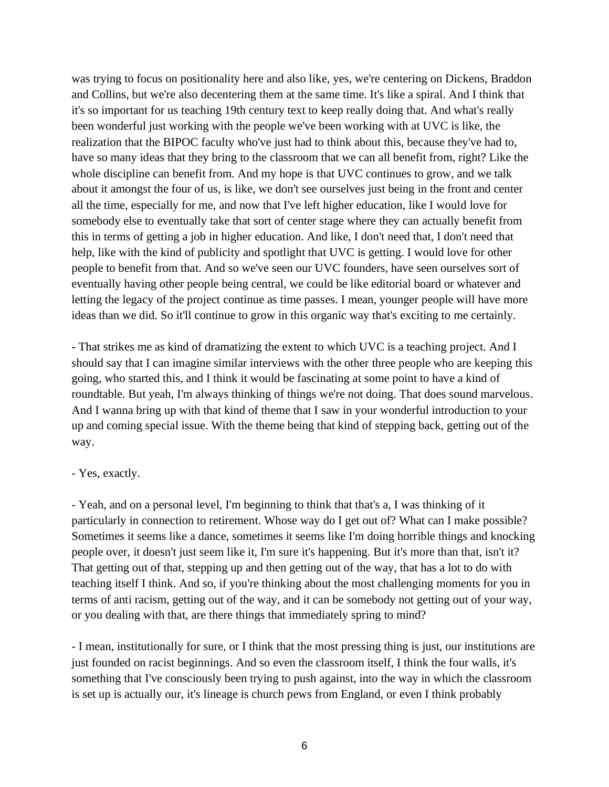was trying to focus on positionality here and also like, yes, we're centering on Dickens, Braddon and Collins, but we're also decentering them at the same time. It's like a spiral. And I think that it's so important for us teaching 19th century text to keep really doing that. And what's really been wonderful just working with the people we've been working with at UVC is like, the realization that the BIPOC faculty who've just had to think about this, because they've had to, have so many ideas that they bring to the classroom that we can all benefit from, right? Like the whole discipline can benefit from. And my hope is that UVC continues to grow, and we talk about it amongst the four of us, is like, we don't see ourselves just being in the front and center all the time, especially for me, and now that I've left higher education, like I would love for somebody else to eventually take that sort of center stage where they can actually benefit from this in terms of getting a job in higher education. And like, I don't need that, I don't need that help, like with the kind of publicity and spotlight that UVC is getting. I would love for other people to benefit from that. And so we've seen our UVC founders, have seen ourselves sort of eventually having other people being central, we could be like editorial board or whatever and letting the legacy of the project continue as time passes. I mean, younger people will have more ideas than we did. So it'll continue to grow in this organic way that's exciting to me certainly.

- That strikes me as kind of dramatizing the extent to which UVC is a teaching project. And I should say that I can imagine similar interviews with the other three people who are keeping this going, who started this, and I think it would be fascinating at some point to have a kind of roundtable. But yeah, I'm always thinking of things we're not doing. That does sound marvelous. And I wanna bring up with that kind of theme that I saw in your wonderful introduction to your up and coming special issue. With the theme being that kind of stepping back, getting out of the way.

## - Yes, exactly.

- Yeah, and on a personal level, I'm beginning to think that that's a, I was thinking of it particularly in connection to retirement. Whose way do I get out of? What can I make possible? Sometimes it seems like a dance, sometimes it seems like I'm doing horrible things and knocking people over, it doesn't just seem like it, I'm sure it's happening. But it's more than that, isn't it? That getting out of that, stepping up and then getting out of the way, that has a lot to do with teaching itself I think. And so, if you're thinking about the most challenging moments for you in terms of anti racism, getting out of the way, and it can be somebody not getting out of your way, or you dealing with that, are there things that immediately spring to mind?

- I mean, institutionally for sure, or I think that the most pressing thing is just, our institutions are just founded on racist beginnings. And so even the classroom itself, I think the four walls, it's something that I've consciously been trying to push against, into the way in which the classroom is set up is actually our, it's lineage is church pews from England, or even I think probably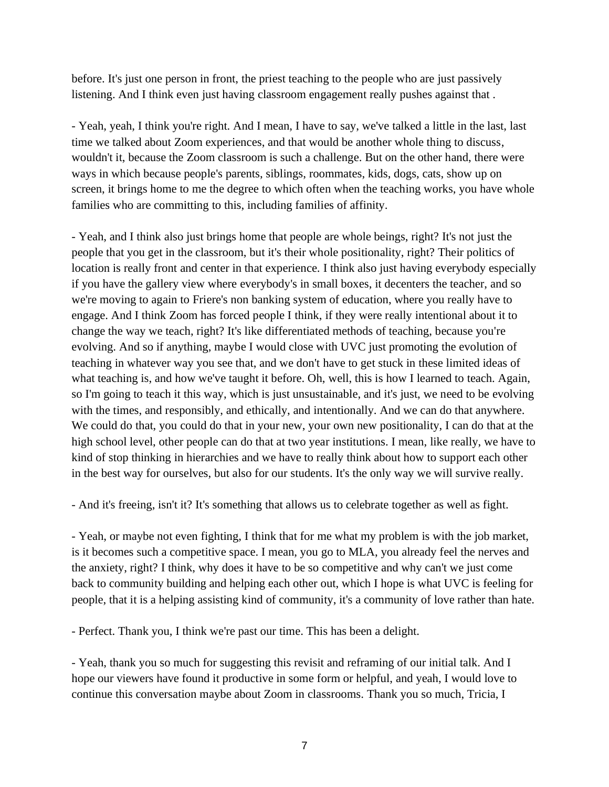before. It's just one person in front, the priest teaching to the people who are just passively listening. And I think even just having classroom engagement really pushes against that .

- Yeah, yeah, I think you're right. And I mean, I have to say, we've talked a little in the last, last time we talked about Zoom experiences, and that would be another whole thing to discuss, wouldn't it, because the Zoom classroom is such a challenge. But on the other hand, there were ways in which because people's parents, siblings, roommates, kids, dogs, cats, show up on screen, it brings home to me the degree to which often when the teaching works, you have whole families who are committing to this, including families of affinity.

- Yeah, and I think also just brings home that people are whole beings, right? It's not just the people that you get in the classroom, but it's their whole positionality, right? Their politics of location is really front and center in that experience. I think also just having everybody especially if you have the gallery view where everybody's in small boxes, it decenters the teacher, and so we're moving to again to Friere's non banking system of education, where you really have to engage. And I think Zoom has forced people I think, if they were really intentional about it to change the way we teach, right? It's like differentiated methods of teaching, because you're evolving. And so if anything, maybe I would close with UVC just promoting the evolution of teaching in whatever way you see that, and we don't have to get stuck in these limited ideas of what teaching is, and how we've taught it before. Oh, well, this is how I learned to teach. Again, so I'm going to teach it this way, which is just unsustainable, and it's just, we need to be evolving with the times, and responsibly, and ethically, and intentionally. And we can do that anywhere. We could do that, you could do that in your new, your own new positionality, I can do that at the high school level, other people can do that at two year institutions. I mean, like really, we have to kind of stop thinking in hierarchies and we have to really think about how to support each other in the best way for ourselves, but also for our students. It's the only way we will survive really.

- And it's freeing, isn't it? It's something that allows us to celebrate together as well as fight.

- Yeah, or maybe not even fighting, I think that for me what my problem is with the job market, is it becomes such a competitive space. I mean, you go to MLA, you already feel the nerves and the anxiety, right? I think, why does it have to be so competitive and why can't we just come back to community building and helping each other out, which I hope is what UVC is feeling for people, that it is a helping assisting kind of community, it's a community of love rather than hate.

- Perfect. Thank you, I think we're past our time. This has been a delight.

- Yeah, thank you so much for suggesting this revisit and reframing of our initial talk. And I hope our viewers have found it productive in some form or helpful, and yeah, I would love to continue this conversation maybe about Zoom in classrooms. Thank you so much, Tricia, I